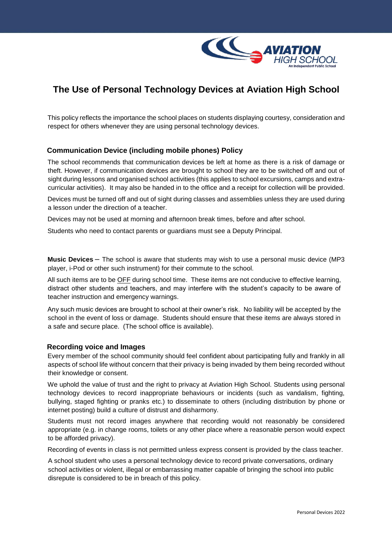

# **The Use of Personal Technology Devices at Aviation High School**

This policy reflects the importance the school places on students displaying courtesy, consideration and respect for others whenever they are using personal technology devices.

## **Communication Device (including mobile phones) Policy**

The school recommends that communication devices be left at home as there is a risk of damage or theft. However, if communication devices are brought to school they are to be switched off and out of sight during lessons and organised school activities (this applies to school excursions, camps and extracurricular activities). It may also be handed in to the office and a receipt for collection will be provided.

Devices must be turned off and out of sight during classes and assemblies unless they are used during a lesson under the direction of a teacher.

Devices may not be used at morning and afternoon break times, before and after school.

Students who need to contact parents or guardians must see a Deputy Principal.

**Music Devices** – The school is aware that students may wish to use a personal music device (MP3 player, i-Pod or other such instrument) for their commute to the school.

All such items are to be OFF during school time. These items are not conducive to effective learning, distract other students and teachers, and may interfere with the student's capacity to be aware of teacher instruction and emergency warnings.

Any such music devices are brought to school at their owner's risk. No liability will be accepted by the school in the event of loss or damage. Students should ensure that these items are always stored in a safe and secure place. (The school office is available).

## **Recording voice and Images**

Every member of the school community should feel confident about participating fully and frankly in all aspects of school life without concern that their privacy is being invaded by them being recorded without their knowledge or consent.

We uphold the value of trust and the right to privacy at Aviation High School. Students using personal technology devices to record inappropriate behaviours or incidents (such as vandalism, fighting, bullying, staged fighting or pranks etc.) to disseminate to others (including distribution by phone or internet posting) build a culture of distrust and disharmony.

Students must not record images anywhere that recording would not reasonably be considered appropriate (e.g. in change rooms, toilets or any other place where a reasonable person would expect to be afforded privacy).

Recording of events in class is not permitted unless express consent is provided by the class teacher.

A school student who uses a personal technology device to record private conversations, ordinary school activities or violent, illegal or embarrassing matter capable of bringing the school into public disrepute is considered to be in breach of this policy.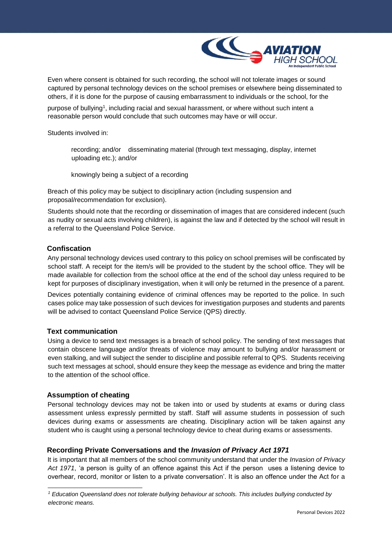

Even where consent is obtained for such recording, the school will not tolerate images or sound captured by personal technology devices on the school premises or elsewhere being disseminated to others, if it is done for the purpose of causing embarrassment to individuals or the school, for the

purpose of bullying<sup>1</sup>, including racial and sexual harassment, or where without such intent a reasonable person would conclude that such outcomes may have or will occur.

Students involved in:

recording; and/or disseminating material (through text messaging, display, internet uploading etc.); and/or

knowingly being a subject of a recording

Breach of this policy may be subject to disciplinary action (including suspension and proposal/recommendation for exclusion).

Students should note that the recording or dissemination of images that are considered indecent (such as nudity or sexual acts involving children), is against the law and if detected by the school will result in a referral to the Queensland Police Service.

### **Confiscation**

Any personal technology devices used contrary to this policy on school premises will be confiscated by school staff. A receipt for the item/s will be provided to the student by the school office. They will be made available for collection from the school office at the end of the school day unless required to be kept for purposes of disciplinary investigation, when it will only be returned in the presence of a parent.

Devices potentially containing evidence of criminal offences may be reported to the police. In such cases police may take possession of such devices for investigation purposes and students and parents will be advised to contact Queensland Police Service (QPS) directly.

### **Text communication**

Using a device to send text messages is a breach of school policy. The sending of text messages that contain obscene language and/or threats of violence may amount to bullying and/or harassment or even stalking, and will subject the sender to discipline and possible referral to QPS. Students receiving such text messages at school, should ensure they keep the message as evidence and bring the matter to the attention of the school office.

#### **Assumption of cheating**

l

Personal technology devices may not be taken into or used by students at exams or during class assessment unless expressly permitted by staff. Staff will assume students in possession of such devices during exams or assessments are cheating. Disciplinary action will be taken against any student who is caught using a personal technology device to cheat during exams or assessments.

## **Recording Private Conversations and the** *Invasion of Privacy Act 1971*

It is important that all members of the school community understand that under the *Invasion of Privacy Act 1971*, 'a person is guilty of an offence against this Act if the person uses a listening device to overhear, record, monitor or listen to a private conversation'. It is also an offence under the Act for a

*<sup>1</sup> Education Queensland does not tolerate bullying behaviour at schools. This includes bullying conducted by electronic means.*